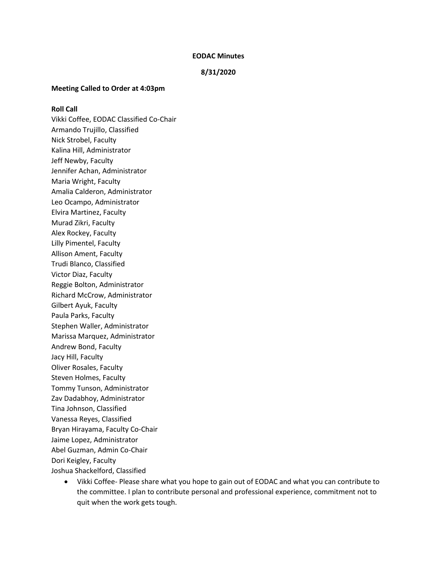#### **EODAC Minutes**

#### **8/31/2020**

#### **Meeting Called to Order at 4:03pm**

#### **Roll Call**

Vikki Coffee, EODAC Classified Co-Chair Armando Trujillo, Classified Nick Strobel, Faculty Kalina Hill, Administrator Jeff Newby, Faculty Jennifer Achan, Administrator Maria Wright, Faculty Amalia Calderon, Administrator Leo Ocampo, Administrator Elvira Martinez, Faculty Murad Zikri, Faculty Alex Rockey, Faculty Lilly Pimentel, Faculty Allison Ament, Faculty Trudi Blanco, Classified Victor Diaz, Faculty Reggie Bolton, Administrator Richard McCrow, Administrator Gilbert Ayuk, Faculty Paula Parks, Faculty Stephen Waller, Administrator Marissa Marquez, Administrator Andrew Bond, Faculty Jacy Hill, Faculty Oliver Rosales, Faculty Steven Holmes, Faculty Tommy Tunson, Administrator Zav Dadabhoy, Administrator Tina Johnson, Classified Vanessa Reyes, Classified Bryan Hirayama, Faculty Co-Chair Jaime Lopez, Administrator Abel Guzman, Admin Co-Chair Dori Keigley, Faculty Joshua Shackelford, Classified

> • Vikki Coffee- Please share what you hope to gain out of EODAC and what you can contribute to the committee. I plan to contribute personal and professional experience, commitment not to quit when the work gets tough.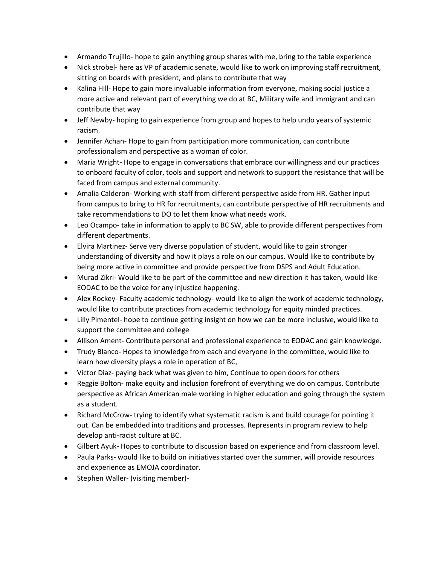- Armando Trujillo- hope to gain anything group shares with me, bring to the table experience
- Nick strobel- here as VP of academic senate, would like to work on improving staff recruitment, sitting on boards with president, and plans to contribute that way
- Kalina Hill- Hope to gain more invaluable information from everyone, making social justice a more active and relevant part of everything we do at BC, Military wife and immigrant and can contribute that way
- Jeff Newby- hoping to gain experience from group and hopes to help undo years of systemic racism.
- Jennifer Achan- Hope to gain from participation more communication, can contribute professionalism and perspective as a woman of color.
- Maria Wright- Hope to engage in conversations that embrace our willingness and our practices to onboard faculty of color, tools and support and network to support the resistance that will be faced from campus and external community.
- Amalia Calderon- Working with staff from different perspective aside from HR. Gather input from campus to bring to HR for recruitments, can contribute perspective of HR recruitments and take recommendations to DO to let them know what needs work.
- Leo Ocampo- take in information to apply to BC SW, able to provide different perspectives from different departments.
- Elvira Martinez- Serve very diverse population of student, would like to gain stronger understanding of diversity and how it plays a role on our campus. Would like to contribute by being more active in committee and provide perspective from DSPS and Adult Education.
- Murad Zikri- Would like to be part of the committee and new direction it has taken, would like EODAC to be the voice for any injustice happening.
- Alex Rockey- Faculty academic technology- would like to align the work of academic technology, would like to contribute practices from academic technology for equity minded practices.
- Lilly Pimentel- hope to continue getting insight on how we can be more inclusive, would like to support the committee and college
- Allison Ament- Contribute personal and professional experience to EODAC and gain knowledge.
- Trudy Blanco- Hopes to knowledge from each and everyone in the committee, would like to learn how diversity plays a role in operation of BC,
- Victor Diaz- paying back what was given to him, Continue to open doors for others
- Reggie Bolton- make equity and inclusion forefront of everything we do on campus. Contribute perspective as African American male working in higher education and going through the system as a student.
- Richard McCrow- trying to identify what systematic racism is and build courage for pointing it out. Can be embedded into traditions and processes. Represents in program review to help develop anti-racist culture at BC.
- Gilbert Ayuk- Hopes to contribute to discussion based on experience and from classroom level.
- Paula Parks- would like to build on initiatives started over the summer, will provide resources and experience as EMOJA coordinator.
- Stephen Waller- (visiting member)-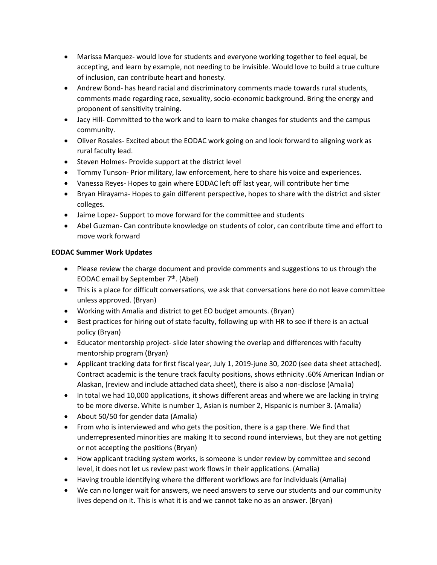- Marissa Marquez- would love for students and everyone working together to feel equal, be accepting, and learn by example, not needing to be invisible. Would love to build a true culture of inclusion, can contribute heart and honesty.
- Andrew Bond- has heard racial and discriminatory comments made towards rural students, comments made regarding race, sexuality, socio-economic background. Bring the energy and proponent of sensitivity training.
- Jacy Hill- Committed to the work and to learn to make changes for students and the campus community.
- Oliver Rosales- Excited about the EODAC work going on and look forward to aligning work as rural faculty lead.
- Steven Holmes- Provide support at the district level
- Tommy Tunson- Prior military, law enforcement, here to share his voice and experiences.
- Vanessa Reyes- Hopes to gain where EODAC left off last year, will contribute her time
- Bryan Hirayama- Hopes to gain different perspective, hopes to share with the district and sister colleges.
- Jaime Lopez- Support to move forward for the committee and students
- Abel Guzman- Can contribute knowledge on students of color, can contribute time and effort to move work forward

# **EODAC Summer Work Updates**

- Please review the charge document and provide comments and suggestions to us through the EODAC email by September  $7<sup>th</sup>$ . (Abel)
- This is a place for difficult conversations, we ask that conversations here do not leave committee unless approved. (Bryan)
- Working with Amalia and district to get EO budget amounts. (Bryan)
- Best practices for hiring out of state faculty, following up with HR to see if there is an actual policy (Bryan)
- Educator mentorship project- slide later showing the overlap and differences with faculty mentorship program (Bryan)
- Applicant tracking data for first fiscal year, July 1, 2019-june 30, 2020 (see data sheet attached). Contract academic is the tenure track faculty positions, shows ethnicity .60% American Indian or Alaskan, (review and include attached data sheet), there is also a non-disclose (Amalia)
- In total we had 10,000 applications, it shows different areas and where we are lacking in trying to be more diverse. White is number 1, Asian is number 2, Hispanic is number 3. (Amalia)
- About 50/50 for gender data (Amalia)
- From who is interviewed and who gets the position, there is a gap there. We find that underrepresented minorities are making It to second round interviews, but they are not getting or not accepting the positions (Bryan)
- How applicant tracking system works, is someone is under review by committee and second level, it does not let us review past work flows in their applications. (Amalia)
- Having trouble identifying where the different workflows are for individuals (Amalia)
- We can no longer wait for answers, we need answers to serve our students and our community lives depend on it. This is what it is and we cannot take no as an answer. (Bryan)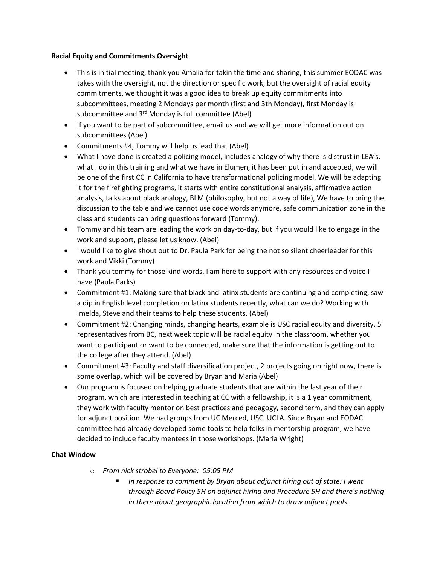### **Racial Equity and Commitments Oversight**

- This is initial meeting, thank you Amalia for takin the time and sharing, this summer EODAC was takes with the oversight, not the direction or specific work, but the oversight of racial equity commitments, we thought it was a good idea to break up equity commitments into subcommittees, meeting 2 Mondays per month (first and 3th Monday), first Monday is subcommittee and 3<sup>rd</sup> Monday is full committee (Abel)
- If you want to be part of subcommittee, email us and we will get more information out on subcommittees (Abel)
- Commitments #4, Tommy will help us lead that (Abel)
- What I have done is created a policing model, includes analogy of why there is distrust in LEA's, what I do in this training and what we have in Elumen, it has been put in and accepted, we will be one of the first CC in California to have transformational policing model. We will be adapting it for the firefighting programs, it starts with entire constitutional analysis, affirmative action analysis, talks about black analogy, BLM (philosophy, but not a way of life), We have to bring the discussion to the table and we cannot use code words anymore, safe communication zone in the class and students can bring questions forward (Tommy).
- Tommy and his team are leading the work on day-to-day, but if you would like to engage in the work and support, please let us know. (Abel)
- I would like to give shout out to Dr. Paula Park for being the not so silent cheerleader for this work and Vikki (Tommy)
- Thank you tommy for those kind words, I am here to support with any resources and voice I have (Paula Parks)
- Commitment #1: Making sure that black and latinx students are continuing and completing, saw a dip in English level completion on latinx students recently, what can we do? Working with Imelda, Steve and their teams to help these students. (Abel)
- Commitment #2: Changing minds, changing hearts, example is USC racial equity and diversity, 5 representatives from BC, next week topic will be racial equity in the classroom, whether you want to participant or want to be connected, make sure that the information is getting out to the college after they attend. (Abel)
- Commitment #3: Faculty and staff diversification project, 2 projects going on right now, there is some overlap, which will be covered by Bryan and Maria (Abel)
- Our program is focused on helping graduate students that are within the last year of their program, which are interested in teaching at CC with a fellowship, it is a 1 year commitment, they work with faculty mentor on best practices and pedagogy, second term, and they can apply for adjunct position. We had groups from UC Merced, USC, UCLA. Since Bryan and EODAC committee had already developed some tools to help folks in mentorship program, we have decided to include faculty mentees in those workshops. (Maria Wright)

# **Chat Window**

- o *From nick strobel to Everyone: 05:05 PM*
	- *In response to comment by Bryan about adjunct hiring out of state: I went through Board Policy 5H on adjunct hiring and Procedure 5H and there's nothing in there about geographic location from which to draw adjunct pools.*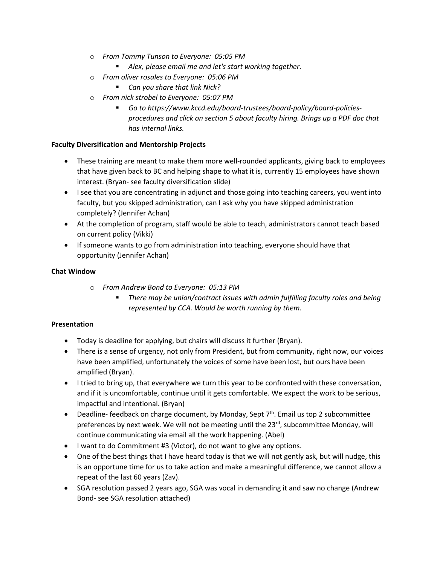- o *From Tommy Tunson to Everyone: 05:05 PM*
	- *Alex, please email me and let's start working together.*
- o *From oliver rosales to Everyone: 05:06 PM*
	- *Can you share that link Nick?*
- o *From nick strobel to Everyone: 05:07 PM*
	- *Go to https://www.kccd.edu/board-trustees/board-policy/board-policiesprocedures and click on section 5 about faculty hiring. Brings up a PDF doc that has internal links.*

### **Faculty Diversification and Mentorship Projects**

- These training are meant to make them more well-rounded applicants, giving back to employees that have given back to BC and helping shape to what it is, currently 15 employees have shown interest. (Bryan- see faculty diversification slide)
- I see that you are concentrating in adjunct and those going into teaching careers, you went into faculty, but you skipped administration, can I ask why you have skipped administration completely? (Jennifer Achan)
- At the completion of program, staff would be able to teach, administrators cannot teach based on current policy (Vikki)
- If someone wants to go from administration into teaching, everyone should have that opportunity (Jennifer Achan)

### **Chat Window**

- o *From Andrew Bond to Everyone: 05:13 PM*
	- *There may be union/contract issues with admin fulfilling faculty roles and being represented by CCA. Would be worth running by them.*

## **Presentation**

- Today is deadline for applying, but chairs will discuss it further (Bryan).
- There is a sense of urgency, not only from President, but from community, right now, our voices have been amplified, unfortunately the voices of some have been lost, but ours have been amplified (Bryan).
- I tried to bring up, that everywhere we turn this year to be confronted with these conversation, and if it is uncomfortable, continue until it gets comfortable. We expect the work to be serious, impactful and intentional. (Bryan)
- Deadline- feedback on charge document, by Monday, Sept  $7<sup>th</sup>$ . Email us top 2 subcommittee preferences by next week. We will not be meeting until the 23<sup>rd</sup>, subcommittee Monday, will continue communicating via email all the work happening. (Abel)
- I want to do Commitment #3 (Victor), do not want to give any options.
- One of the best things that I have heard today is that we will not gently ask, but will nudge, this is an opportune time for us to take action and make a meaningful difference, we cannot allow a repeat of the last 60 years (Zav).
- SGA resolution passed 2 years ago, SGA was vocal in demanding it and saw no change (Andrew Bond- see SGA resolution attached)